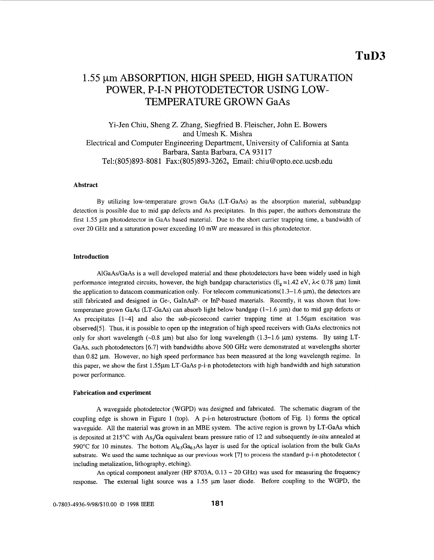# 1.55 µm ABSORPTION, HIGH SPEED, HIGH SATURATION TEMPERATURE GROWN GaAs POWER, P-I-N PHOTODETECTOR USING LOW-

Yi-Jen Chiu, Sheng Z. Zhang, Siegfried B. Fleischer, John E. Bowers and Umesh K. Mishra Electrical and Computer Engineering Department, University of California at Santa Barbara, Santa Barbara, CA 931 17 Te1:(805)893-808 1 Fax:(805)893-3262, Email: [chiu@opto.ece.ucsb.edu](mailto:chiu@opto.ece.ucsb.edu)

# **Abstract**

By utilizing low-temperature grown GaAs (LT-GaAs) as the absorption material, subbandgap detection is possible due to mid gap defects and As precipitates. In this paper, the authors demonstrate the first 1.55  $\mu$ m photodetector in GaAs based material. Due to the short carrier trapping time, a bandwidth of over 20 GHz and a saturation power exceeding 10 mW are measured in this photodetector.

## **Introduction**

AlGaAs/GaAs is a well developed material and these photodetectors have been widely used in high performance integrated circuits, however, the high bandgap characteristics ( $E_g = 1.42$  eV,  $\lambda < 0.78$   $\mu$ m) limit the application to datacom communication only. For telecom communications( $1.3\nu$ 1.6  $\mu$ m), the detectors are still fabricated and designed in Ge-, GaInAsP- or InP-based materials. Recently, it was shown that lowtemperature grown GaAs (LT-GaAs) can absorb light below bandgap  $(1-1.6 \mu m)$  due to mid gap defects or As precipitates  $[1-4]$  and also the sub-picosecond carrier trapping time at 1.56 $\mu$ m excitation was observed[5]. Thus, it is possible to open up the integration of high speed receivers with GaAs electronics not only for short wavelength  $(-0.8 \mu m)$  but also for long wavelength  $(1.3 \sim 1.6 \mu m)$  systems. By using LT-GaAs, such photodetectors *[6.7]* with bandwidths above 500 GHz were demonstrated at wavelengths shorter than 0.82 µm. However, no high speed performance has been measured at the long wavelength regime. In this paper, we show the first 1.55pm LT-GaAs p-i-n photodetectors with high bandwidth and high saturation power performance.

### **Fabrication and experiment**

A waveguide photodetector (WGPD) was designed and fabricated. The schematic diagram of the coupling edge is shown in Figure 1 (top). A p-i-n heterostructure (bottom of Fig. 1) forms the optical waveguide. All the material was grown in an **MBE** system. The active region is grown by LT-GaAs which is deposited at 215°C with As<sub>2</sub>/Ga equivalent beam pressure ratio of 12 and subsequently *in-situ* annealed at 590°C for 10 minutes. The bottom  $Al<sub>0.5</sub>Ga<sub>0.5</sub>As$  layer is used for the optical isolation from the bulk GaAs **substrate.** We **used the** same **technique** as **our previous work** *[7]* to **process the standard** p-i-n photodetector ( including metalization, lithography, etching).

An optical component analyzer *(HP 8703A, 0.13 ~ 20 GHz)* was used for measuring the frequency response. The external light source was a 1.55  $\mu$ m laser diode. Before coupling to the WGPD, the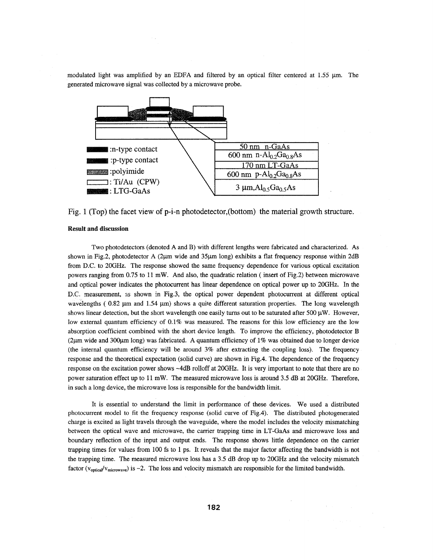modulated light was amplified by an EDFA and filtered by an optical filter centered at  $1.55 \mu m$ . The generated microwave signal was collected by a microwave probe.



Fig. 1 (Top) the facet view of p-i-n photodetector, (bottom) the material growth structure.

## **Result and discussion**

Two photodetectors (denoted **A** and B) with hfferent lengths were fabricated and characterized. As shown in Fig.2, photodetector A (2 $\mu$ m wide and 35 $\mu$ m long) exhibits a flat frequency response within 2dB from D.C. to 20GHz. The response showed the same frequency dependence for various optical excitation powers ranging from 0.75 to 11 mW. And also, the quadratic relation ( insert of Fig.2) between microwave and optical power indicates the photocurrent has linear dependence on optical power up to 2OGHz. In the D.C. measurement, **2s** shown in Fig.3, the optical power dependent photocurrent at different optical wavelengths ( $0.82 \mu m$  and  $1.54 \mu m$ ) shows a quite different saturation properties. The long wavelength shows linear detection, but the short wavelength one easily turns out to be saturated after 500  $\mu$ W. However, low external quantum efficiency of 0.1% was measured. The reasons for this low efficiency are the low absorption coefficient combined with the short device length. To improve the efficiency, photodetector B (2pm wide and 300pm long) was fabricated. **A** quantum efficiency of 1% was obtained due to longer device (the internal quantum efficiency will be around 3% after extracting the coupling loss). The frequency response and the theoretical expectation (solid curve) are shown in Fig.4. The dependence of the frequency response on the excitation power shows -4dB rolloff at 2OGHz. It is very important to note that there are no power saturation effect up to 11 mW. The measured microwave loss is around 3.5 **dB** at 2OGHz. Therefore, in such a long device, the microwave loss is responsible for the bandwidth limit.

It is essential to understand the limit in performance of these devices. We used a distributed photocurrent model to fit the frequency response (solid curve of Fig.4). The distributed photogenerated charge is excited as light travels through the waveguide, where the model includes the velocity mismatching between the optical wave and microwave, the carrier trapping time in LT-GaAs and microwave loss and boundary reflection of the input and output ends. The response shows little dependence on the carrier trapping times for values from 100 fs to 1 ps. It reveals that the major factor affecting the bandwidth is not the trapping time. The measured microwave loss has a 3.5 **dB** drop up to 20GHz and the velocity mismatch factor ( $v_{\text{optical}}/v_{\text{microwave}}$ ) is ~2. The loss and velocity mismatch are responsible for the limited bandwidth.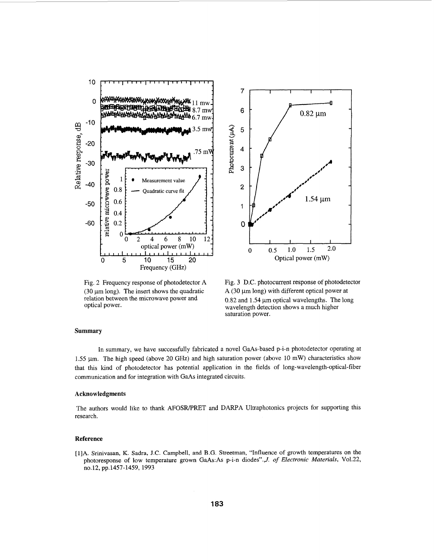

Fig. 2 Frequency response of photodetector A (30  $\mu$ m long). The insert shows the quadratic relation between the microwave power and optical power.



Fig. **3** D.C. photocurrent response of photodetector  $A$  (30  $\mu$ m long) with different optical power at  $0.82$  and  $1.54 \mu m$  optical wavelengths. The long wavelength detection shows a much higher saturation power.

## **Summary**

In summary, we have successfully fabricated a novel GaAs-based p-i-n photodetector operating at 1.55  $\mu$ m. The high speed (above 20 GHz) and high saturation power (above 10 mW) characteristics show that this kind of photodetector has potential application in the fields of long-wavelength-optical-fiber communication and for integration with GaAs integrated circuits.

### **Acknowledgments**

The authors would like to thank AFOSR/PRET and DARPA Ultraphotonics projects for supporting this research.

### **Reference**

[1]A. Srinivasan, K. Sadra, **J.C.** Campbell, and B.G. Streetman, "Influence of growth temperatures on the photoresponse of low temperature grown GaAs:As p-i-n diodes".,J. *of Electronic Materials,* V01.22, n0.12, pp.1457-1459, 1993